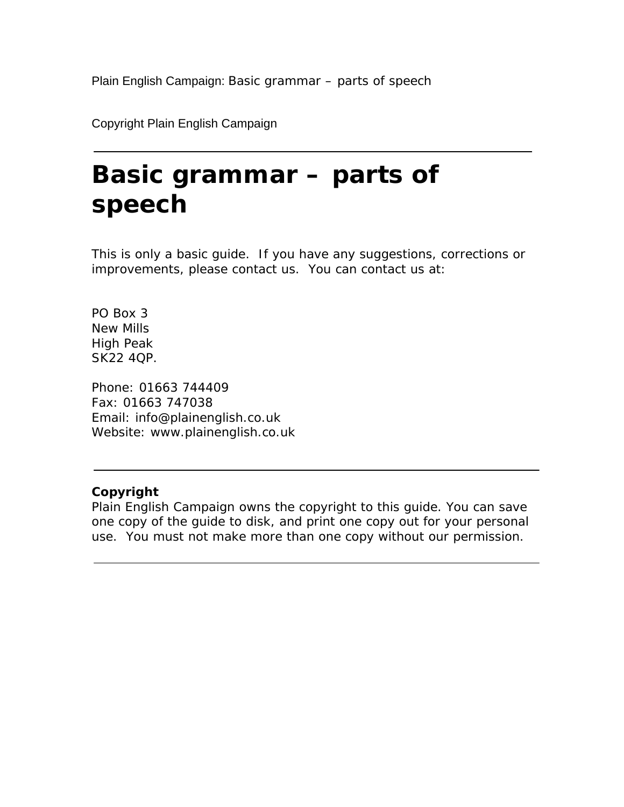Copyright Plain English Campaign

# **Basic grammar – parts of speech**

This is only a basic guide. If you have any suggestions, corrections or improvements, please contact us. You can contact us at:

PO Box 3 New Mills High Peak SK22 4QP.

Phone: 01663 744409 Fax: 01663 747038 Email: info@plainenglish.co.uk Website: www.plainenglish.co.uk

# **Copyright**

Plain English Campaign owns the copyright to this guide. You can save one copy of the guide to disk, and print one copy out for your personal use. You must not make more than one copy without our permission.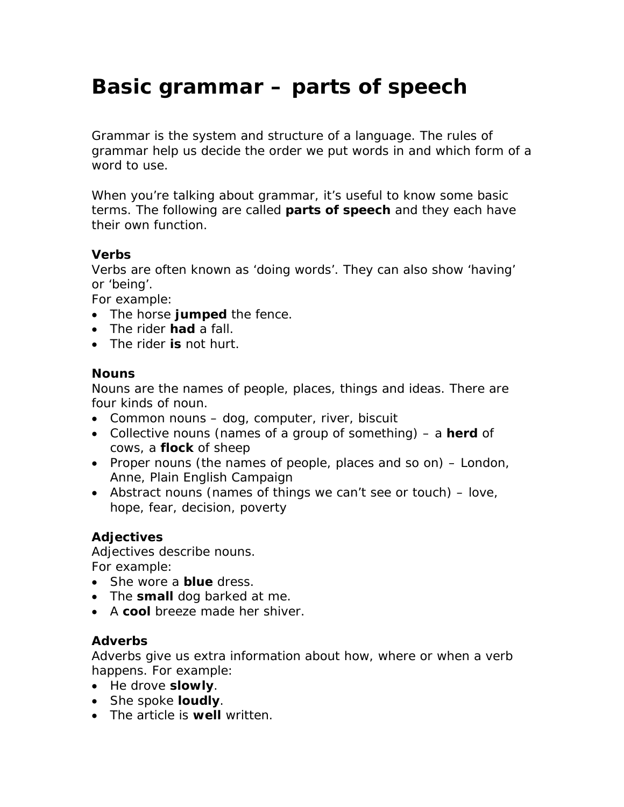# **Basic grammar – parts of speech**

Grammar is the system and structure of a language. The rules of grammar help us decide the order we put words in and which form of a word to use.

When you're talking about grammar, it's useful to know some basic terms. The following are called **parts of speech** and they each have their own function.

# **Verbs**

Verbs are often known as 'doing words'. They can also show 'having' or 'being'.

For example:

- The horse **jumped** the fence.
- The rider **had** a fall.
- The rider **is** not hurt.

#### **Nouns**

Nouns are the names of people, places, things and ideas. There are four kinds of noun.

- Common nouns dog, computer, river, biscuit
- Collective nouns (names of a group of something) a **herd** of cows, a **flock** of sheep
- Proper nouns (the names of people, places and so on) London, Anne, Plain English Campaign
- Abstract nouns (names of things we can't see or touch) love, hope, fear, decision, poverty

# **Adjectives**

Adjectives describe nouns. For example:

- She wore a **blue** dress.
- The **small** dog barked at me.
- A **cool** breeze made her shiver.

# **Adverbs**

Adverbs give us extra information about how, where or when a verb happens. For example:

- He drove **slowly**.
- She spoke **loudly**.
- The article is **well** written.